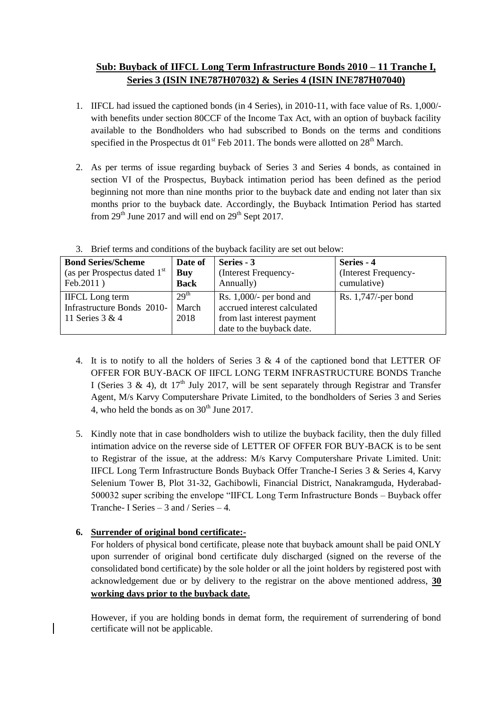# **Sub: Buyback of IIFCL Long Term Infrastructure Bonds 2010 – 11 Tranche I, Series 3 (ISIN INE787H07032) & Series 4 (ISIN INE787H07040)**

- 1. IIFCL had issued the captioned bonds (in 4 Series), in 2010-11, with face value of Rs. 1,000/ with benefits under section 80CCF of the Income Tax Act, with an option of buyback facility available to the Bondholders who had subscribed to Bonds on the terms and conditions specified in the Prospectus dt  $01<sup>st</sup>$  Feb 2011. The bonds were allotted on  $28<sup>th</sup>$  March.
- 2. As per terms of issue regarding buyback of Series 3 and Series 4 bonds, as contained in section VI of the Prospectus, Buyback intimation period has been defined as the period beginning not more than nine months prior to the buyback date and ending not later than six months prior to the buyback date. Accordingly, the Buyback Intimation Period has started from  $29<sup>th</sup>$  June 2017 and will end on  $29<sup>th</sup>$  Sept 2017.

| <b>Bond Series/Scheme</b>      | Date of          | Series - 3                  | Series - 4             |
|--------------------------------|------------------|-----------------------------|------------------------|
| (as per Prospectus dated $1st$ | Buy              | (Interest Frequency-        | (Interest Frequency-   |
| Feb.2011)                      | <b>Back</b>      | Annually)                   | cumulative)            |
| <b>IIFCL</b> Long term         | 29 <sup>th</sup> | Rs. $1,000/$ - per bond and | Rs. $1,747$ /-per bond |
| Infrastructure Bonds 2010-     | March            | accrued interest calculated |                        |
| 11 Series 3 & 4                | 2018             | from last interest payment  |                        |
|                                |                  | date to the buyback date.   |                        |

3. Brief terms and conditions of the buyback facility are set out below:

- 4. It is to notify to all the holders of Series 3 & 4 of the captioned bond that LETTER OF OFFER FOR BUY-BACK OF IIFCL LONG TERM INFRASTRUCTURE BONDS Tranche I (Series 3 & 4), dt  $17<sup>th</sup>$  July 2017, will be sent separately through Registrar and Transfer Agent, M/s Karvy Computershare Private Limited, to the bondholders of Series 3 and Series 4, who held the bonds as on  $30<sup>th</sup>$  June 2017.
- 5. Kindly note that in case bondholders wish to utilize the buyback facility, then the duly filled intimation advice on the reverse side of LETTER OF OFFER FOR BUY-BACK is to be sent to Registrar of the issue, at the address: M/s Karvy Computershare Private Limited. Unit: IIFCL Long Term Infrastructure Bonds Buyback Offer Tranche-I Series 3 & Series 4, Karvy Selenium Tower B, Plot 31-32, Gachibowli, Financial District, Nanakramguda, Hyderabad-500032 super scribing the envelope "IIFCL Long Term Infrastructure Bonds – Buyback offer Tranche- I Series – 3 and / Series – 4.

# **6. Surrender of original bond certificate:-**

For holders of physical bond certificate, please note that buyback amount shall be paid ONLY upon surrender of original bond certificate duly discharged (signed on the reverse of the consolidated bond certificate) by the sole holder or all the joint holders by registered post with acknowledgement due or by delivery to the registrar on the above mentioned address, **30 working days prior to the buyback date.**

However, if you are holding bonds in demat form, the requirement of surrendering of bond certificate will not be applicable.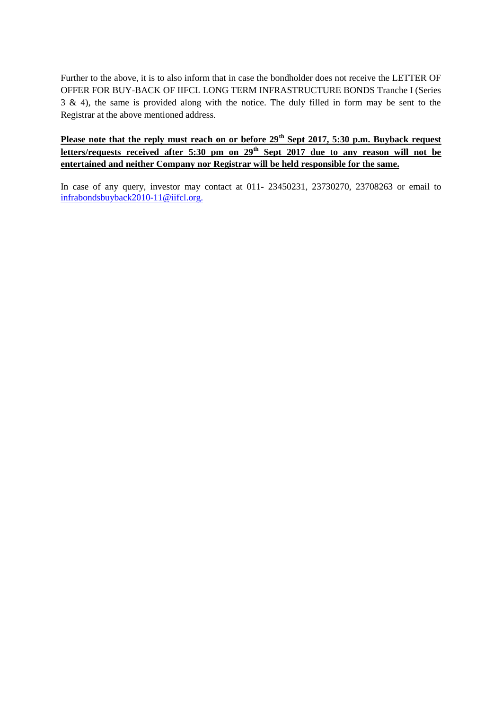Further to the above, it is to also inform that in case the bondholder does not receive the LETTER OF OFFER FOR BUY-BACK OF IIFCL LONG TERM INFRASTRUCTURE BONDS Tranche I (Series 3 & 4), the same is provided along with the notice. The duly filled in form may be sent to the Registrar at the above mentioned address.

**Please note that the reply must reach on or before 29th Sept 2017, 5:30 p.m. Buyback request letters/requests received after 5:30 pm on 29th Sept 2017 due to any reason will not be entertained and neither Company nor Registrar will be held responsible for the same.**

In case of any query, investor may contact at 011- 23450231, 23730270, 23708263 or email to infrabond[sbuyback2010-11@iifcl.org.](mailto:buyback2010-11@iifcl.org)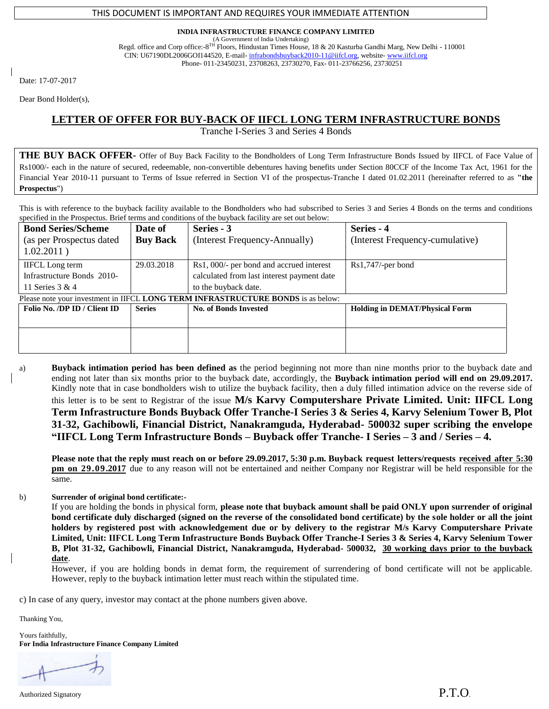### THIS DOCUMENT IS IMPORTANT AND REQUIRES YOUR IMMEDIATE ATTENTION

#### **INDIA INFRASTRUCTURE FINANCE COMPANY LIMITED**

(A Government of India Undertaking) Regd. office and Corp office:-8<sup>TH</sup> Floors, Hindustan Times House, 18 & 20 Kasturba Gandhi Marg, New Delhi - 110001 CIN: U67190DL2006GOI144520, E-mail- infrabond[sbuyback2010-11@iifcl.org,](mailto:buyback2010-11@iifcl.org) website- [www.iifcl.org](http://www.iifcl.org/) Phone- 011-23450231, 23708263, 23730270, Fax- 011-23766256, 23730251

Date: 17-07-2017

Dear Bond Holder(s),

## **LETTER OF OFFER FOR BUY-BACK OF IIFCL LONG TERM INFRASTRUCTURE BONDS**

Tranche I-Series 3 and Series 4 Bonds

**THE BUY BACK OFFER-** Offer of Buy Back Facility to the Bondholders of Long Term Infrastructure Bonds Issued by IIFCL of Face Value of Rs1000/- each in the nature of secured, redeemable, non-convertible debentures having benefits under Section 80CCF of the Income Tax Act, 1961 for the Financial Year 2010-11 pursuant to Terms of Issue referred in Section VI of the prospectus-Tranche I dated 01.02.2011 (hereinafter referred to as **"the Prospectus**")

This is with reference to the buyback facility available to the Bondholders who had subscribed to Series 3 and Series 4 Bonds on the terms and conditions specified in the Prospectus. Brief terms and conditions of the buyback facility are set out below:

| <b>Bond Series/Scheme</b><br>(as per Prospectus dated<br>1.02.2011)              | Date of<br><b>Buy Back</b> | Series - 3<br>(Interest Frequency-Annually) | Series - 4<br>(Interest Frequency-cumulative) |
|----------------------------------------------------------------------------------|----------------------------|---------------------------------------------|-----------------------------------------------|
| <b>IIFCL</b> Long term                                                           | 29.03.2018                 | Rs1, 000/- per bond and accrued interest    | $Rs1,747/-per$ bond                           |
| Infrastructure Bonds 2010-                                                       |                            | calculated from last interest payment date  |                                               |
| 11 Series 3 & 4                                                                  |                            | to the buyback date.                        |                                               |
| Please note your investment in IIFCL LONG TERM INFRASTRUCTURE BONDS is as below: |                            |                                             |                                               |
| Folio No. /DP ID / Client ID                                                     | <b>Series</b>              | <b>No. of Bonds Invested</b>                | <b>Holding in DEMAT/Physical Form</b>         |
|                                                                                  |                            |                                             |                                               |
|                                                                                  |                            |                                             |                                               |

a) **Buyback intimation period has been defined as** the period beginning not more than nine months prior to the buyback date and ending not later than six months prior to the buyback date, accordingly, the **Buyback intimation period will end on 29.09.2017.** Kindly note that in case bondholders wish to utilize the buyback facility, then a duly filled intimation advice on the reverse side of this letter is to be sent to Registrar of the issue **M/s Karvy Computershare Private Limited. Unit: IIFCL Long Term Infrastructure Bonds Buyback Offer Tranche-I Series 3 & Series 4, Karvy Selenium Tower B, Plot 31-32, Gachibowli, Financial District, Nanakramguda, Hyderabad- 500032 super scribing the envelope "IIFCL Long Term Infrastructure Bonds – Buyback offer Tranche- I Series – 3 and / Series – 4.**

**Please note that the reply must reach on or before 29.09.2017, 5:30 p.m. Buyback request letters/requests received after 5:30 pm on 29.09.2017** due to any reason will not be entertained and neither Company nor Registrar will be held responsible for the same.

b) **Surrender of original bond certificate:-**

If you are holding the bonds in physical form, **please note that buyback amount shall be paid ONLY upon surrender of original bond certificate duly discharged (signed on the reverse of the consolidated bond certificate) by the sole holder or all the joint holders by registered post with acknowledgement due or by delivery to the registrar M/s Karvy Computershare Private Limited, Unit: IIFCL Long Term Infrastructure Bonds Buyback Offer Tranche-I Series 3 & Series 4, Karvy Selenium Tower B, Plot 31-32, Gachibowli, Financial District, Nanakramguda, Hyderabad- 500032, 30 working days prior to the buyback date**.

However, if you are holding bonds in demat form, the requirement of surrendering of bond certificate will not be applicable. However, reply to the buyback intimation letter must reach within the stipulated time.

c) In case of any query, investor may contact at the phone numbers given above.

Thanking You,

Yours faithfully, **For India Infrastructure Finance Company Limited**